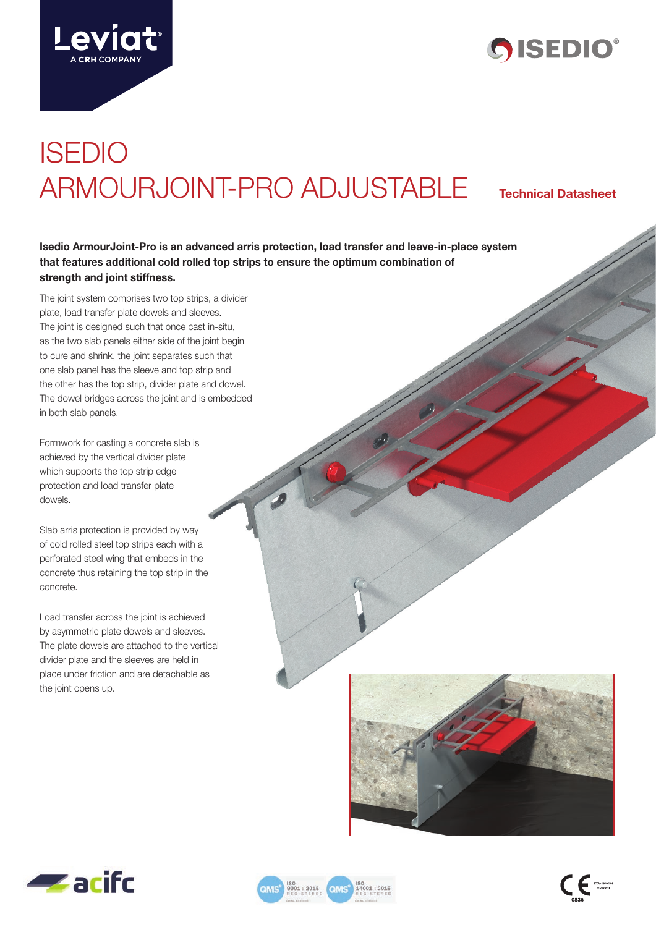



# ISEDIO ARMOURJOINT-PRO ADJUSTABLE **Technical Datasheet**

**Isedio ArmourJoint-Pro is an advanced arris protection, load transfer and leave-in-place system that features additional cold rolled top strips to ensure the optimum combination of strength and joint stiffness.**

The joint system comprises two top strips, a divider plate, load transfer plate dowels and sleeves. The joint is designed such that once cast in-situ, as the two slab panels either side of the joint begin to cure and shrink, the joint separates such that one slab panel has the sleeve and top strip and the other has the top strip, divider plate and dowel. The dowel bridges across the joint and is embedded in both slab panels.

Formwork for casting a concrete slab is achieved by the vertical divider plate which supports the top strip edge protection and load transfer plate dowels.

Slab arris protection is provided by way of cold rolled steel top strips each with a perforated steel wing that embeds in the concrete thus retaining the top strip in the concrete.

Load transfer across the joint is achieved by asymmetric plate dowels and sleeves. The plate dowels are attached to the vertical divider plate and the sleeves are held in place under friction and are detachable as the joint opens up.